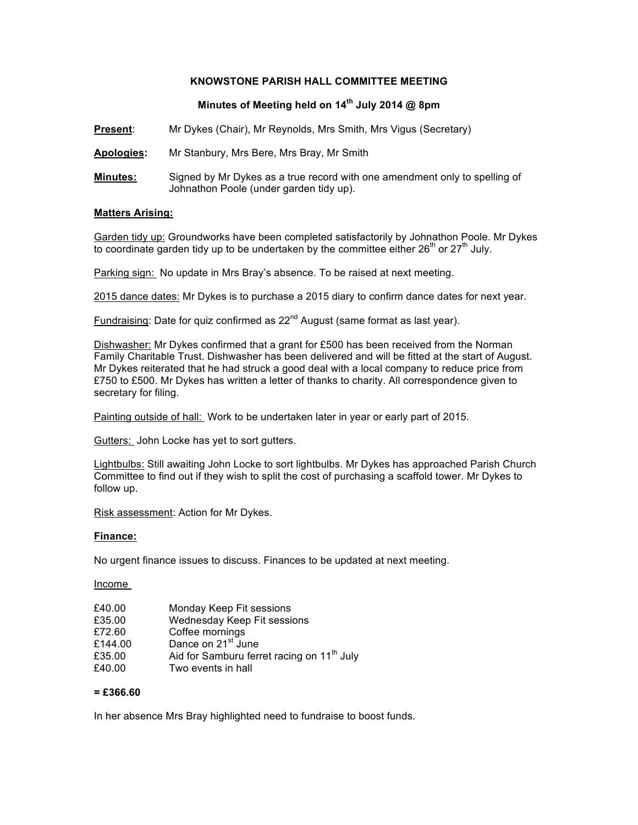### **KNOWSTONE PARISH HALL COMMITTEE MEETING**

# **Minutes of Meeting held on 14th July 2014 @ 8pm**

**Present**: Mr Dykes (Chair), Mr Reynolds, Mrs Smith, Mrs Vigus (Secretary)

**Apologies:** Mr Stanbury, Mrs Bere, Mrs Bray, Mr Smith

**Minutes:** Signed by Mr Dykes as a true record with one amendment only to spelling of Johnathon Poole (under garden tidy up).

#### **Matters Arising:**

Garden tidy up: Groundworks have been completed satisfactorily by Johnathon Poole. Mr Dykes to coordinate garden tidy up to be undertaken by the committee either  $26<sup>th</sup>$  or  $27<sup>th</sup>$  July.

Parking sign: No update in Mrs Bray's absence. To be raised at next meeting.

2015 dance dates: Mr Dykes is to purchase a 2015 diary to confirm dance dates for next year.

Fundraising: Date for quiz confirmed as 22<sup>nd</sup> August (same format as last year).

Dishwasher: Mr Dykes confirmed that a grant for £500 has been received from the Norman Family Charitable Trust. Dishwasher has been delivered and will be fitted at the start of August. Mr Dykes reiterated that he had struck a good deal with a local company to reduce price from £750 to £500. Mr Dykes has written a letter of thanks to charity. All correspondence given to secretary for filing.

Painting outside of hall: Work to be undertaken later in year or early part of 2015.

Gutters: John Locke has yet to sort gutters.

Lightbulbs: Still awaiting John Locke to sort lightbulbs. Mr Dykes has approached Parish Church Committee to find out if they wish to split the cost of purchasing a scaffold tower. Mr Dykes to follow up.

Risk assessment: Action for Mr Dykes.

#### **Finance:**

No urgent finance issues to discuss. Finances to be updated at next meeting.

Income

| £40.00  | Monday Keep Fit sessions                               |
|---------|--------------------------------------------------------|
| £35.00  | Wednesday Keep Fit sessions                            |
| £72.60  | Coffee mornings                                        |
| £144.00 | Dance on 21 <sup>st</sup> June                         |
| £35.00  | Aid for Samburu ferret racing on 11 <sup>th</sup> July |
| £40.00  | Two events in hall                                     |

#### **= £366.60**

In her absence Mrs Bray highlighted need to fundraise to boost funds.